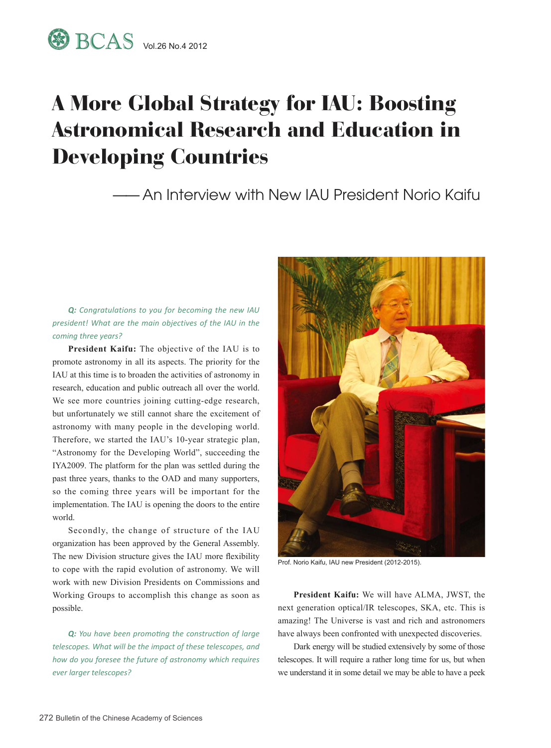## A More Global Strategy for IAU: Boosting Astronomical Research and Education in Developing Countries

—— An Interview with New IAU President Norio Kaifu

## *Q: Congratulations to you for becoming the new IAU president! What are the main objectives of the IAU in the coming three years?*

**President Kaifu:** The objective of the IAU is to promote astronomy in all its aspects. The priority for the IAU at this time is to broaden the activities of astronomy in research, education and public outreach all over the world. We see more countries joining cutting-edge research, but unfortunately we still cannot share the excitement of astronomy with many people in the developing world. Therefore, we started the IAU's 10-year strategic plan, "Astronomy for the Developing World", succeeding the IYA2009. The platform for the plan was settled during the past three years, thanks to the OAD and many supporters, so the coming three years will be important for the implementation. The IAU is opening the doors to the entire world.

Secondly, the change of structure of the IAU organization has been approved by the General Assembly. The new Division structure gives the IAU more flexibility to cope with the rapid evolution of astronomy. We will work with new Division Presidents on Commissions and Working Groups to accomplish this change as soon as possible.

*Q: You have been promoting the construction of large telescopes. What will be the impact of these telescopes, and how do you foresee the future of astronomy which requires ever larger telescopes?*



Prof. Norio Kaifu, IAU new President (2012-2015).

**President Kaifu:** We will have ALMA, JWST, the next generation optical/IR telescopes, SKA, etc. This is amazing! The Universe is vast and rich and astronomers have always been confronted with unexpected discoveries.

Dark energy will be studied extensively by some of those telescopes. It will require a rather long time for us, but when we understand it in some detail we may be able to have a peek